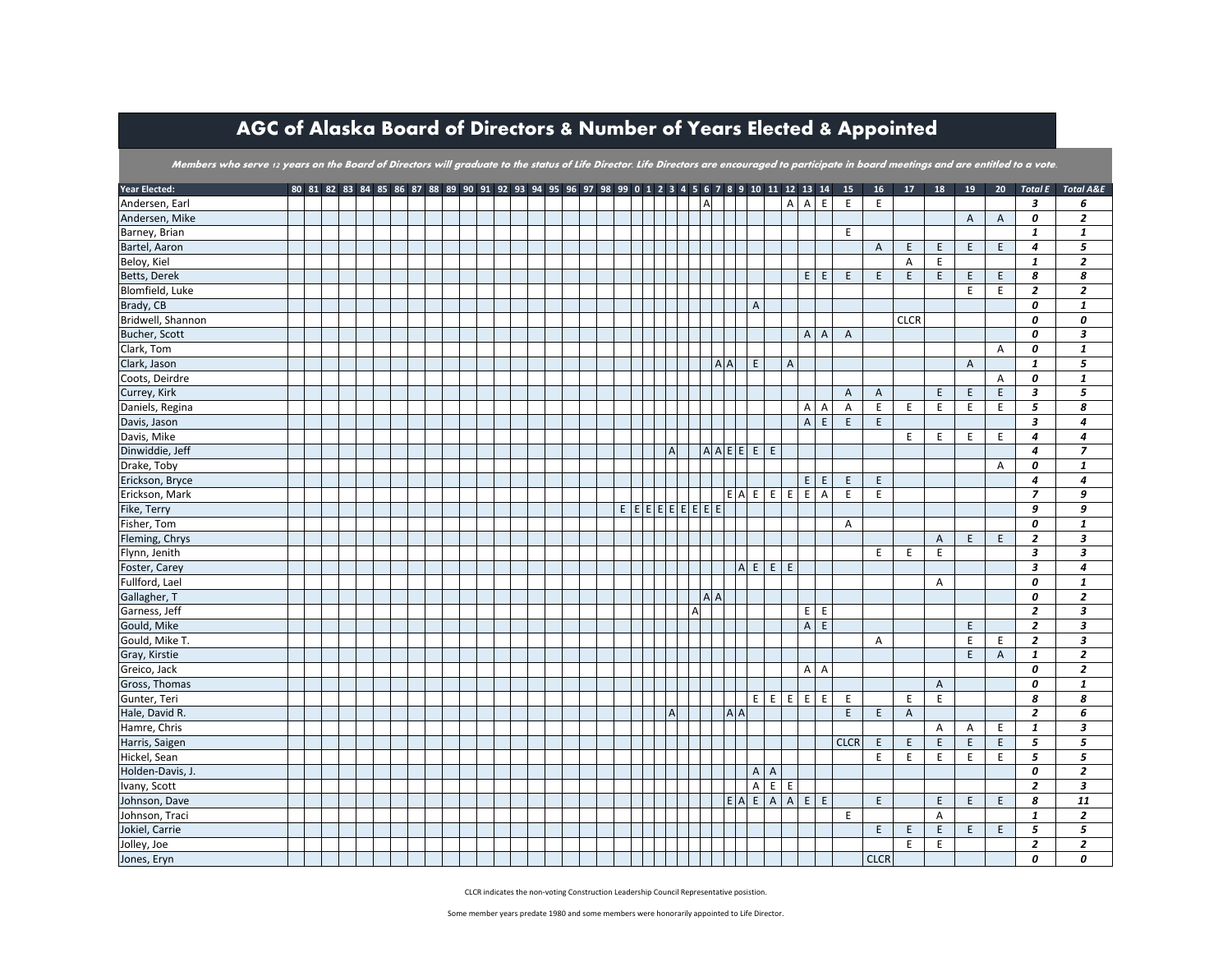## AGC of Alaska Board of Directors & Number of Years Elected & Appointed

Members who serve 12 years on the Board of Directors will graduate to the status of Life Director. Life Directors are encouraged to participate in board meetings and are entitled to a vote.

| Year Elected:     |  |  |  |  | 80 81 82 83 84 85 86 87 88 89 90 91 92 93 94 95 96 97 98 99 0 1 2 3 4 5 6 7 8 9 10 11 12 13 14 |  |  |                                                             |                |              |          |         |         |                |                                  |                            |              | 15                             | 16 <sup>1</sup> | 17             | 18             | 19             | 20 <sub>2</sub> | <b>Total E</b>          | <b>Total A&amp;E</b>      |
|-------------------|--|--|--|--|------------------------------------------------------------------------------------------------|--|--|-------------------------------------------------------------|----------------|--------------|----------|---------|---------|----------------|----------------------------------|----------------------------|--------------|--------------------------------|-----------------|----------------|----------------|----------------|-----------------|-------------------------|---------------------------|
| Andersen, Earl    |  |  |  |  |                                                                                                |  |  |                                                             |                |              | <b>A</b> |         |         |                |                                  | A                          | A            | $\mathsf E$<br>E               | E               |                |                |                |                 | $\overline{\mathbf{3}}$ | 6                         |
| Andersen, Mike    |  |  |  |  |                                                                                                |  |  |                                                             |                |              |          |         |         |                |                                  |                            |              |                                |                 |                |                | $\mathsf{A}$   | $\overline{A}$  | 0                       | $\overline{\mathbf{z}}$   |
| Barney, Brian     |  |  |  |  |                                                                                                |  |  |                                                             |                |              |          |         |         |                |                                  |                            |              | E                              |                 |                |                |                |                 | $\mathbf{1}$            | $\mathbf{1}$              |
| Bartel, Aaron     |  |  |  |  |                                                                                                |  |  |                                                             |                |              |          |         |         |                |                                  |                            |              |                                | $\overline{A}$  | E              | E              | E              | E               | $\overline{4}$          | 5                         |
| Beloy, Kiel       |  |  |  |  |                                                                                                |  |  |                                                             |                |              |          |         |         |                |                                  |                            |              |                                |                 | A              | E              |                |                 | $\mathbf{1}$            | $\overline{2}$            |
| Betts, Derek      |  |  |  |  |                                                                                                |  |  |                                                             |                |              |          |         |         |                |                                  |                            | E            | $\mathsf E$<br>E               | $\mathsf E$     | E              | E              | E              | E               | 8                       | 8                         |
| Blomfield, Luke   |  |  |  |  |                                                                                                |  |  |                                                             |                |              |          |         |         |                |                                  |                            |              |                                |                 |                |                | E.             | E               | $\overline{2}$          | $\overline{2}$            |
| Brady, CB         |  |  |  |  |                                                                                                |  |  |                                                             |                |              |          |         |         | $\overline{A}$ |                                  |                            |              |                                |                 |                |                |                |                 | 0                       | $\mathbf{1}$              |
| Bridwell, Shannon |  |  |  |  |                                                                                                |  |  |                                                             |                |              |          |         |         |                |                                  |                            |              |                                |                 | <b>CLCR</b>    |                |                |                 | 0                       | 0                         |
| Bucher, Scott     |  |  |  |  |                                                                                                |  |  |                                                             |                |              |          |         |         |                |                                  |                            | $\mathsf{A}$ | $\mathsf{A}$<br>$\overline{A}$ |                 |                |                |                |                 | 0                       | 3                         |
| Clark, Tom        |  |  |  |  |                                                                                                |  |  |                                                             |                |              |          |         |         |                |                                  |                            |              |                                |                 |                |                |                | $\overline{A}$  | 0                       | $\pmb{1}$                 |
| Clark, Jason      |  |  |  |  |                                                                                                |  |  |                                                             |                |              |          | $A$ $A$ |         | E              |                                  | $\sf A$                    |              |                                |                 |                |                | $\overline{A}$ |                 | $\mathbf{1}$            | 5                         |
| Coots, Deirdre    |  |  |  |  |                                                                                                |  |  |                                                             |                |              |          |         |         |                |                                  |                            |              |                                |                 |                |                |                | A               | 0                       | $\mathbf{1}$              |
| Currey, Kirk      |  |  |  |  |                                                                                                |  |  |                                                             |                |              |          |         |         |                |                                  |                            |              | $\overline{A}$                 | $\overline{A}$  |                | E              | E              | $\mathsf E$     | 3                       | 5                         |
| Daniels, Regina   |  |  |  |  |                                                                                                |  |  |                                                             |                |              |          |         |         |                |                                  |                            | Α            | $\overline{A}$<br>Α            | E               | E              | E              | E              | E               | 5                       | 8                         |
| Davis, Jason      |  |  |  |  |                                                                                                |  |  |                                                             |                |              |          |         |         |                |                                  |                            | $\mathsf{A}$ | $\mathsf E$<br>E               | E               |                |                |                |                 | $\overline{\mathbf{3}}$ | 4                         |
| Davis, Mike       |  |  |  |  |                                                                                                |  |  |                                                             |                |              |          |         |         |                |                                  |                            |              |                                |                 | E              | E              | E              | E               | $\overline{4}$          | 4                         |
| Dinwiddie, Jeff   |  |  |  |  |                                                                                                |  |  |                                                             | $\overline{A}$ |              |          |         |         | A A E E E      | E                                |                            |              |                                |                 |                |                |                |                 | $\overline{a}$          | $\overline{z}$            |
| Drake, Toby       |  |  |  |  |                                                                                                |  |  |                                                             |                |              |          |         |         |                |                                  |                            |              |                                |                 |                |                |                | A               | 0                       | $\mathbf{1}$              |
| Erickson, Bryce   |  |  |  |  |                                                                                                |  |  |                                                             |                |              |          |         |         |                |                                  |                            | E            | $\mathsf E$<br>E               | $\mathsf E$     |                |                |                |                 | $\overline{4}$          | 4                         |
| Erickson, Mark    |  |  |  |  |                                                                                                |  |  |                                                             |                |              |          |         |         | E A E          |                                  | E<br>E                     | E.           | A<br>E                         | E               |                |                |                |                 | $\overline{z}$          | 9                         |
| Fike, Terry       |  |  |  |  |                                                                                                |  |  | $E \mid E \mid E \mid E \mid E \mid E \mid E \mid E \mid E$ |                |              |          |         |         |                |                                  |                            |              |                                |                 |                |                |                |                 | 9                       | 9                         |
| Fisher, Tom       |  |  |  |  |                                                                                                |  |  |                                                             |                |              |          |         |         |                |                                  |                            |              | A                              |                 |                |                |                |                 | 0                       | $\mathbf{1}$              |
| Fleming, Chrys    |  |  |  |  |                                                                                                |  |  |                                                             |                |              |          |         |         |                |                                  |                            |              |                                |                 |                | $\overline{A}$ | E              | E               | $\overline{2}$          | 3                         |
| Flynn, Jenith     |  |  |  |  |                                                                                                |  |  |                                                             |                |              |          |         |         |                |                                  |                            |              |                                | E               | E              | E              |                |                 | $\overline{\mathbf{3}}$ | 3                         |
| Foster, Carey     |  |  |  |  |                                                                                                |  |  |                                                             |                |              |          |         |         | $A$ E          |                                  | E<br>E                     |              |                                |                 |                |                |                |                 | 3                       | $\overline{4}$            |
| Fullford, Lael    |  |  |  |  |                                                                                                |  |  |                                                             |                |              |          |         |         |                |                                  |                            |              |                                |                 |                | $\overline{A}$ |                |                 | 0                       | $\mathbf{1}$              |
| Gallagher, T      |  |  |  |  |                                                                                                |  |  |                                                             |                |              | AA       |         |         |                |                                  |                            |              |                                |                 |                |                |                |                 | 0                       | $\overline{z}$            |
| Garness, Jeff     |  |  |  |  |                                                                                                |  |  |                                                             |                | $\mathsf{A}$ |          |         |         |                |                                  |                            | E            | E                              |                 |                |                |                |                 | $\overline{2}$          | $\boldsymbol{\mathsf{3}}$ |
| Gould, Mike       |  |  |  |  |                                                                                                |  |  |                                                             |                |              |          |         |         |                |                                  |                            | $\mathsf{A}$ | $\mathsf E$                    |                 |                |                | E              |                 | $\overline{2}$          | $\mathbf{3}$              |
| Gould, Mike T.    |  |  |  |  |                                                                                                |  |  |                                                             |                |              |          |         |         |                |                                  |                            |              |                                | A               |                |                | E              | E               | $\overline{2}$          | $\mathbf{3}$              |
| Gray, Kirstie     |  |  |  |  |                                                                                                |  |  |                                                             |                |              |          |         |         |                |                                  |                            |              |                                |                 |                |                | E              | $\overline{A}$  | $\mathbf{1}$            | $\overline{2}$            |
| Greico, Jack      |  |  |  |  |                                                                                                |  |  |                                                             |                |              |          |         |         |                |                                  |                            | $\mathsf{A}$ | A                              |                 |                |                |                |                 | 0                       | $\overline{2}$            |
| Gross, Thomas     |  |  |  |  |                                                                                                |  |  |                                                             |                |              |          |         |         |                |                                  |                            |              |                                |                 |                | $\overline{A}$ |                |                 | 0                       | $\mathbf{1}$              |
| Gunter, Teri      |  |  |  |  |                                                                                                |  |  |                                                             |                |              |          |         |         |                |                                  | $E$ $E$ $E$                | E            | E<br>E                         |                 | E              | E              |                |                 | 8                       | 8                         |
| Hale, David R.    |  |  |  |  |                                                                                                |  |  |                                                             | $\overline{A}$ |              |          |         | $A$ $A$ |                |                                  |                            |              | E                              | E               | $\overline{A}$ |                |                |                 | $\overline{2}$          | 6                         |
| Hamre, Chris      |  |  |  |  |                                                                                                |  |  |                                                             |                |              |          |         |         |                |                                  |                            |              |                                |                 |                | A              | A              | E               | $\mathbf{1}$            | $\mathbf{3}$              |
| Harris, Saigen    |  |  |  |  |                                                                                                |  |  |                                                             |                |              |          |         |         |                |                                  |                            |              | <b>CLCR</b>                    | $\mathsf E$     | E              | E              | E              | E               | 5                       | 5                         |
| Hickel, Sean      |  |  |  |  |                                                                                                |  |  |                                                             |                |              |          |         |         |                |                                  |                            |              |                                | E               | E              | E.             | E              | E               | 5                       | 5                         |
| Holden-Davis, J.  |  |  |  |  |                                                                                                |  |  |                                                             |                |              |          |         |         |                | $\overline{A}$<br>$\overline{A}$ |                            |              |                                |                 |                |                |                |                 | 0                       | $\overline{2}$            |
| Ivany, Scott      |  |  |  |  |                                                                                                |  |  |                                                             |                |              |          |         |         | A              |                                  | $\,$ E $\,$<br>$\mathsf E$ |              |                                |                 |                |                |                |                 | $\overline{2}$          | $\mathbf{3}$              |
| Johnson, Dave     |  |  |  |  |                                                                                                |  |  |                                                             |                |              |          |         |         | $E$ $A$ $E$    |                                  | $A \mid A$                 | E            | $\mathsf E$                    | E               |                | E              | E              | E               | 8                       | 11                        |
| Johnson, Traci    |  |  |  |  |                                                                                                |  |  |                                                             |                |              |          |         |         |                |                                  |                            |              | E                              |                 |                | $\overline{A}$ |                |                 | $\mathbf{1}$            | $\overline{2}$            |
| Jokiel, Carrie    |  |  |  |  |                                                                                                |  |  |                                                             |                |              |          |         |         |                |                                  |                            |              |                                | E               | E              | E              | E.             | E               | 5                       | 5                         |
| Jolley, Joe       |  |  |  |  |                                                                                                |  |  |                                                             |                |              |          |         |         |                |                                  |                            |              |                                |                 | E              | E              |                |                 | $\overline{2}$          | $\overline{2}$            |
| Jones, Eryn       |  |  |  |  |                                                                                                |  |  |                                                             |                |              |          |         |         |                |                                  |                            |              |                                | <b>CLCR</b>     |                |                |                |                 | 0                       | 0                         |

CLCR indicates the non-voting Construction Leadership Council Representative posistion.